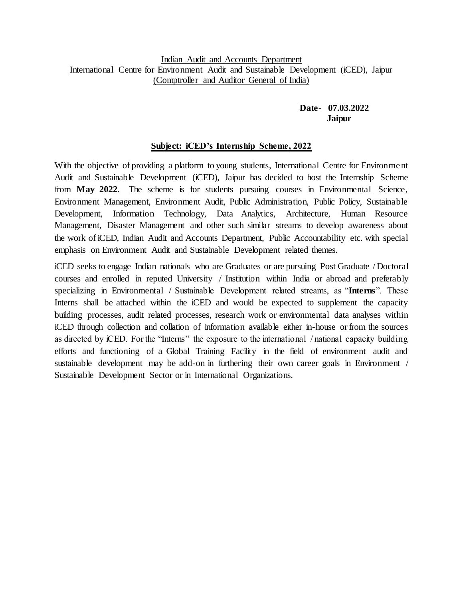## Indian Audit and Accounts Department International Centre for Environment Audit and Sustainable Development (iCED), Jaipur (Comptroller and Auditor General of India)

## **Date- 07.03.2022 Jaipur**

## **Subject: iCED's Internship Scheme, 2022**

With the objective of providing a platform to young students, International Centre for Environment Audit and Sustainable Development (iCED), Jaipur has decided to host the Internship Scheme from **May 2022**. The scheme is for students pursuing courses in Environmental Science, Environment Management, Environment Audit, Public Administration, Public Policy, Sustainable Development, Information Technology, Data Analytics, Architecture, Human Resource Management, Disaster Management and other such similar streams to develop awareness about the work of iCED, Indian Audit and Accounts Department, Public Accountability etc. with special emphasis on Environment Audit and Sustainable Development related themes.

iCED seeks to engage Indian nationals who are Graduates or are pursuing Post Graduate / Doctoral courses and enrolled in reputed University / Institution within India or abroad and preferably specializing in Environmental / Sustainable Development related streams, as "**Interns**". These Interns shall be attached within the iCED and would be expected to supplement the capacity building processes, audit related processes, research work or environmental data analyses within iCED through collection and collation of information available either in-house or from the sources as directed by iCED. For the "Interns" the exposure to the international / national capacity building efforts and functioning of a Global Training Facility in the field of environment audit and sustainable development may be add-on in furthering their own career goals in Environment / Sustainable Development Sector or in International Organizations.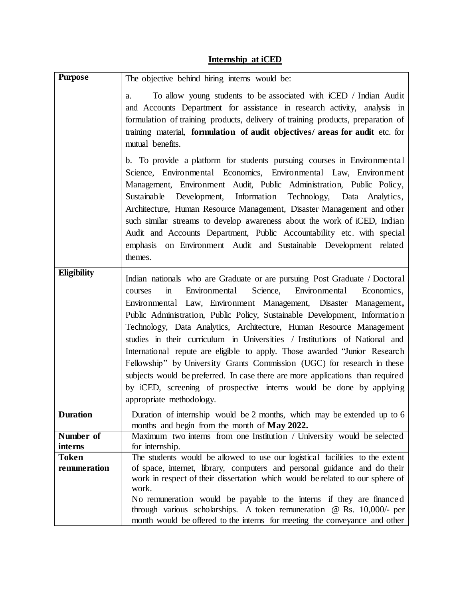# **Internship at iCED**

| <b>Purpose</b>               | The objective behind hiring interns would be:                                                                                                                                                                                                                                                                                                                                                                                                                                                                                                                                                                                                                                                                                                                                                                                                                         |  |  |  |
|------------------------------|-----------------------------------------------------------------------------------------------------------------------------------------------------------------------------------------------------------------------------------------------------------------------------------------------------------------------------------------------------------------------------------------------------------------------------------------------------------------------------------------------------------------------------------------------------------------------------------------------------------------------------------------------------------------------------------------------------------------------------------------------------------------------------------------------------------------------------------------------------------------------|--|--|--|
|                              | To allow young students to be associated with iCED / Indian Audit<br>a.<br>and Accounts Department for assistance in research activity, analysis in<br>formulation of training products, delivery of training products, preparation of<br>training material, formulation of audit objectives/ areas for audit etc. for<br>mutual benefits.<br>b. To provide a platform for students pursuing courses in Environmental<br>Science, Environmental Economics, Environmental Law, Environment<br>Management, Environment Audit, Public Administration, Public Policy,<br>Sustainable Development, Information Technology, Data Analytics,<br>Architecture, Human Resource Management, Disaster Management and other<br>such similar streams to develop awareness about the work of iCED, Indian<br>Audit and Accounts Department, Public Accountability etc. with special |  |  |  |
|                              | emphasis on Environment Audit and Sustainable Development related<br>themes.                                                                                                                                                                                                                                                                                                                                                                                                                                                                                                                                                                                                                                                                                                                                                                                          |  |  |  |
| <b>Eligibility</b>           | Indian nationals who are Graduate or are pursuing Post Graduate / Doctoral<br>Environmental<br>Science, Environmental<br>$\mathbf{m}$<br>Economics,<br>courses<br>Environmental Law, Environment Management, Disaster Management,<br>Public Administration, Public Policy, Sustainable Development, Information<br>Technology, Data Analytics, Architecture, Human Resource Management<br>studies in their curriculum in Universities / Institutions of National and<br>International repute are eligible to apply. Those awarded "Junior Research"<br>Fellowship" by University Grants Commission (UGC) for research in these<br>subjects would be preferred. In case there are more applications than required<br>by iCED, screening of prospective interns would be done by applying<br>appropriate methodology.                                                   |  |  |  |
| <b>Duration</b>              | Duration of internship would be 2 months, which may be extended up to 6<br>months and begin from the month of May 2022.                                                                                                                                                                                                                                                                                                                                                                                                                                                                                                                                                                                                                                                                                                                                               |  |  |  |
| Number of<br>interns         | Maximum two interns from one Institution / University would be selected<br>for internship.                                                                                                                                                                                                                                                                                                                                                                                                                                                                                                                                                                                                                                                                                                                                                                            |  |  |  |
| <b>Token</b><br>remuneration | The students would be allowed to use our logistical facilities to the extent<br>of space, internet, library, computers and personal guidance and do their<br>work in respect of their dissertation which would be related to our sphere of<br>work.<br>No remuneration would be payable to the interns if they are financed<br>through various scholarships. A token remuneration $\omega$ Rs. 10,000/- per<br>month would be offered to the interns for meeting the conveyance and other                                                                                                                                                                                                                                                                                                                                                                             |  |  |  |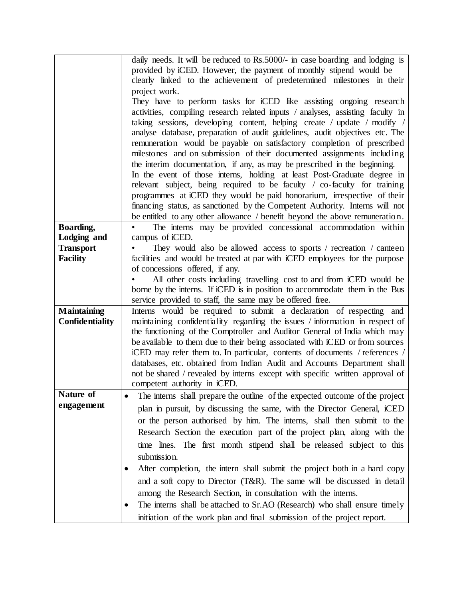|                        | daily needs. It will be reduced to Rs.5000/- in case boarding and lodging is   |  |  |  |  |  |
|------------------------|--------------------------------------------------------------------------------|--|--|--|--|--|
|                        | provided by iCED. However, the payment of monthly stipend would be             |  |  |  |  |  |
|                        | clearly linked to the achievement of predetermined milestones in their         |  |  |  |  |  |
|                        | project work.                                                                  |  |  |  |  |  |
|                        | They have to perform tasks for iCED like assisting ongoing research            |  |  |  |  |  |
|                        | activities, compiling research related inputs / analyses, assisting faculty in |  |  |  |  |  |
|                        | taking sessions, developing content, helping create / update / modify /        |  |  |  |  |  |
|                        | analyse database, preparation of audit guidelines, audit objectives etc. The   |  |  |  |  |  |
|                        | remuneration would be payable on satisfactory completion of prescribed         |  |  |  |  |  |
|                        | milestones and on submission of their documented assignments including         |  |  |  |  |  |
|                        | the interim documentation, if any, as may be prescribed in the beginning.      |  |  |  |  |  |
|                        | In the event of those interns, holding at least Post-Graduate degree in        |  |  |  |  |  |
|                        | relevant subject, being required to be faculty / co-faculty for training       |  |  |  |  |  |
|                        | programmes at iCED they would be paid honorarium, irrespective of their        |  |  |  |  |  |
|                        | financing status, as sanctioned by the Competent Authority. Interns will not   |  |  |  |  |  |
|                        | be entitled to any other allowance / benefit beyond the above remuneration.    |  |  |  |  |  |
| Boarding,              | The interns may be provided concessional accommodation within                  |  |  |  |  |  |
| Lodging and            | campus of iCED.                                                                |  |  |  |  |  |
| <b>Transport</b>       | They would also be allowed access to sports / recreation / canteen             |  |  |  |  |  |
| <b>Facility</b>        | facilities and would be treated at par with iCED employees for the purpose     |  |  |  |  |  |
|                        | of concessions offered, if any.                                                |  |  |  |  |  |
|                        | All other costs including travelling cost to and from iCED would be            |  |  |  |  |  |
|                        | borne by the interns. If iCED is in position to accommodate them in the Bus    |  |  |  |  |  |
|                        | service provided to staff, the same may be offered free.                       |  |  |  |  |  |
| <b>Maintaining</b>     | Interns would be required to submit a declaration of respecting and            |  |  |  |  |  |
| <b>Confidentiality</b> | maintaining confidentiality regarding the issues / information in respect of   |  |  |  |  |  |
|                        | the functioning of the Comptroller and Auditor General of India which may      |  |  |  |  |  |
|                        | be available to them due to their being associated with iCED or from sources   |  |  |  |  |  |
|                        | iCED may refer them to. In particular, contents of documents / references /    |  |  |  |  |  |
|                        | databases, etc. obtained from Indian Audit and Accounts Department shall       |  |  |  |  |  |
|                        | not be shared / revealed by interns except with specific written approval of   |  |  |  |  |  |
|                        | competent authority in iCED.                                                   |  |  |  |  |  |
| Nature of              | The interns shall prepare the outline of the expected outcome of the project   |  |  |  |  |  |
| engagement             | plan in pursuit, by discussing the same, with the Director General, iCED       |  |  |  |  |  |
|                        | or the person authorised by him. The interns, shall then submit to the         |  |  |  |  |  |
|                        | Research Section the execution part of the project plan, along with the        |  |  |  |  |  |
|                        | time lines. The first month stipend shall be released subject to this          |  |  |  |  |  |
|                        | submission.                                                                    |  |  |  |  |  |
|                        |                                                                                |  |  |  |  |  |
|                        | After completion, the intern shall submit the project both in a hard copy      |  |  |  |  |  |
|                        | and a soft copy to Director (T&R). The same will be discussed in detail        |  |  |  |  |  |
|                        | among the Research Section, in consultation with the interns.                  |  |  |  |  |  |
|                        | The interns shall be attached to Sr.AO (Research) who shall ensure timely      |  |  |  |  |  |
|                        | initiation of the work plan and final submission of the project report.        |  |  |  |  |  |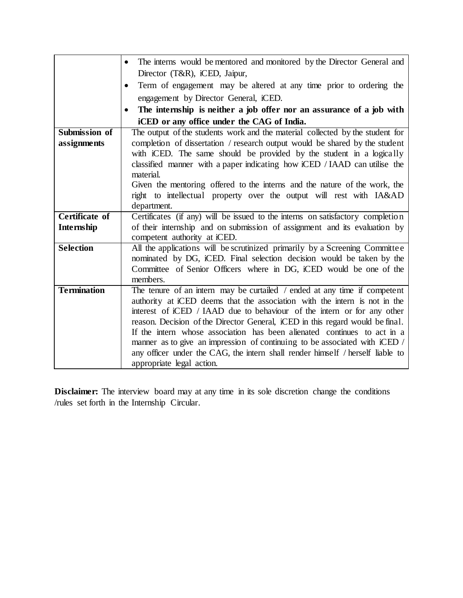|                       | The interns would be mentored and monitored by the Director General and              |  |  |  |  |
|-----------------------|--------------------------------------------------------------------------------------|--|--|--|--|
|                       | Director (T&R), iCED, Jaipur,                                                        |  |  |  |  |
|                       | Term of engagement may be altered at any time prior to ordering the<br>$\bullet$     |  |  |  |  |
|                       | engagement by Director General, iCED.                                                |  |  |  |  |
|                       | The internship is neither a job offer nor an assurance of a job with                 |  |  |  |  |
|                       | iCED or any office under the CAG of India.                                           |  |  |  |  |
| Submission of         | The output of the students work and the material collected by the student for        |  |  |  |  |
| assignments           | completion of dissertation / research output would be shared by the student          |  |  |  |  |
|                       | with iCED. The same should be provided by the student in a logically                 |  |  |  |  |
|                       | classified manner with a paper indicating how iCED / IAAD can utilise the            |  |  |  |  |
|                       | material.                                                                            |  |  |  |  |
|                       | Given the mentoring offered to the interns and the nature of the work, the           |  |  |  |  |
|                       | right to intellectual property over the output will rest with IA&AD                  |  |  |  |  |
|                       | department.                                                                          |  |  |  |  |
| <b>Certificate of</b> | Certificates (if any) will be issued to the interns on satisfactory completion       |  |  |  |  |
| Internship            | of their internship and on submission of assignment and its evaluation by            |  |  |  |  |
|                       | competent authority at iCED.                                                         |  |  |  |  |
| <b>Selection</b>      | All the applications will be scrutinized primarily by a Screening Committee          |  |  |  |  |
|                       | nominated by DG, iCED. Final selection decision would be taken by the                |  |  |  |  |
|                       | Committee of Senior Officers where in DG, iCED would be one of the                   |  |  |  |  |
|                       | members.                                                                             |  |  |  |  |
| <b>Termination</b>    | The tenure of an intern may be curtailed / ended at any time if competent            |  |  |  |  |
|                       | authority at iCED deems that the association with the intern is not in the           |  |  |  |  |
|                       | interest of iCED / IAAD due to behaviour of the intern or for any other              |  |  |  |  |
|                       | reason. Decision of the Director General, <i>iCED</i> in this regard would be final. |  |  |  |  |
|                       | If the intern whose association has been alienated continues to act in a             |  |  |  |  |
|                       | manner as to give an impression of continuing to be associated with iCED /           |  |  |  |  |
|                       | any officer under the CAG, the intern shall render himself / herself liable to       |  |  |  |  |
|                       | appropriate legal action.                                                            |  |  |  |  |

Disclaimer: The interview board may at any time in its sole discretion change the conditions /rules set forth in the Internship Circular.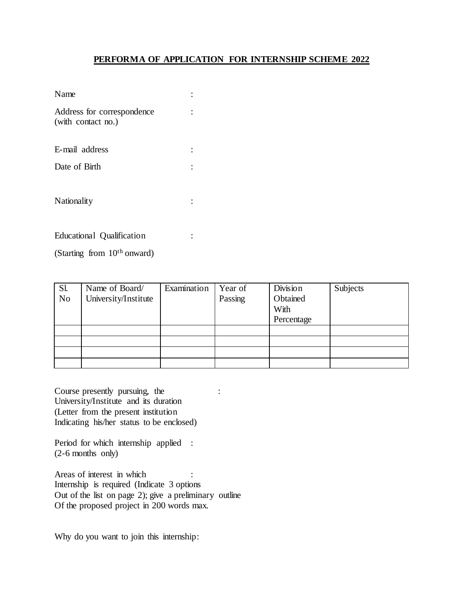## **PERFORMA OF APPLICATION FOR INTERNSHIP SCHEME 2022**

| Name                                             |  |
|--------------------------------------------------|--|
| Address for correspondence<br>(with contact no.) |  |
| E-mail address                                   |  |
| Date of Birth                                    |  |
| Nationality                                      |  |
| Educational Qualification                        |  |

(Starting from 10th onward)

| Sl.<br>N <sub>0</sub> | Name of Board/<br>University/Institute | Examination | Year of<br>Passing | Division<br>Obtained<br>With<br>Percentage | Subjects |
|-----------------------|----------------------------------------|-------------|--------------------|--------------------------------------------|----------|
|                       |                                        |             |                    |                                            |          |
|                       |                                        |             |                    |                                            |          |
|                       |                                        |             |                    |                                            |          |
|                       |                                        |             |                    |                                            |          |

Course presently pursuing, the : University/Institute and its duration (Letter from the present institution Indicating his/her status to be enclosed)

Period for which internship applied : (2-6 months only)

Areas of interest in which : Internship is required (Indicate 3 options Out of the list on page 2); give a preliminary outline Of the proposed project in 200 words max.

Why do you want to join this internship: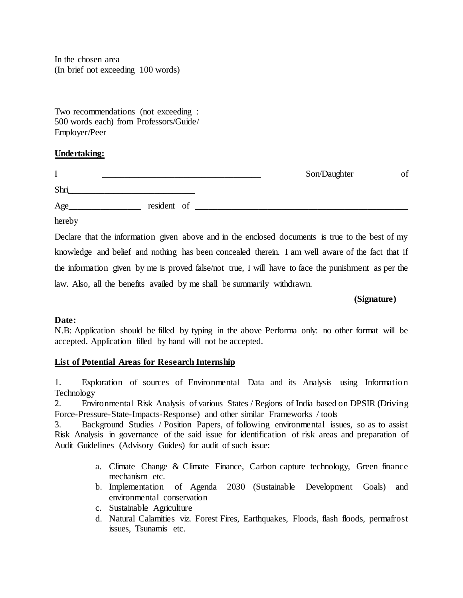In the chosen area (In brief not exceeding 100 words)

Two recommendations (not exceeding : 500 words each) from Professors/Guide/ Employer/Peer

## **Undertaking:**

|        |             | Son/Daughter | of |
|--------|-------------|--------------|----|
| Shri   |             |              |    |
| Age    | resident of |              |    |
| hereby |             |              |    |

Declare that the information given above and in the enclosed documents is true to the best of my knowledge and belief and nothing has been concealed therein. I am well aware of the fact that if the information given by me is proved false/not true, I will have to face the punishment as per the law. Also, all the benefits availed by me shall be summarily withdrawn.

## **(Signature)**

## **Date:**

N.B: Application should be filled by typing in the above Performa only: no other format will be accepted. Application filled by hand will not be accepted.

## **List of Potential Areas for Research Internship**

1. Exploration of sources of Environmental Data and its Analysis using Information Technology

2. Environmental Risk Analysis of various States / Regions of India based on DPSIR (Driving Force-Pressure-State-Impacts-Response) and other similar Frameworks / tools

3. Background Studies / Position Papers, of following environmental issues, so as to assist Risk Analysis in governance of the said issue for identification of risk areas and preparation of Audit Guidelines (Advisory Guides) for audit of such issue:

- a. Climate Change & Climate Finance, Carbon capture technology, Green finance mechanism etc.
- b. Implementation of Agenda 2030 (Sustainable Development Goals) and environmental conservation
- c. Sustainable Agriculture
- d. Natural Calamities viz. Forest Fires, Earthquakes, Floods, flash floods, permafrost issues, Tsunamis etc.